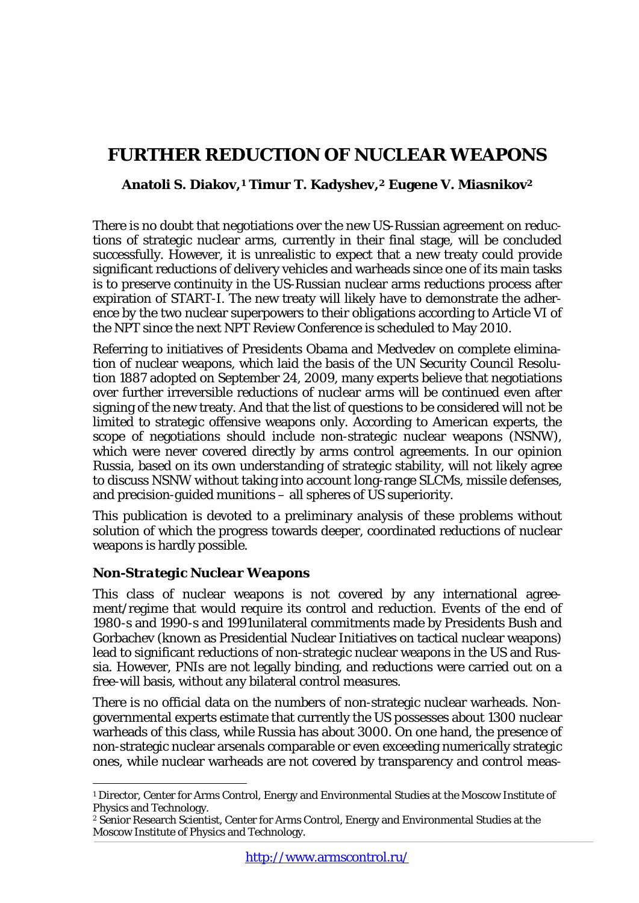# **FURTHER REDUCTION OF NUCLEAR WEAPONS**

# **Anatoli S. Diakov,[1](#page-0-0) Timur T. Kadyshev,[2](#page-0-1) Eugene V. Miasniko[v2](#page-0-2)**

<span id="page-0-2"></span>There is no doubt that negotiations over the new US-Russian agreement on reductions of strategic nuclear arms, currently in their final stage, will be concluded successfully. However, it is unrealistic to expect that a new treaty could provide significant reductions of delivery vehicles and warheads since one of its main tasks is to preserve continuity in the US-Russian nuclear arms reductions process after expiration of START-I. The new treaty will likely have to demonstrate the adherence by the two nuclear superpowers to their obligations according to Article VI of the NPT since the next NPT Review Conference is scheduled to May 2010.

Referring to initiatives of Presidents Obama and Medvedev on complete elimination of nuclear weapons, which laid the basis of the UN Security Council Resolution 1887 adopted on September 24, 2009, many experts believe that negotiations over further irreversible reductions of nuclear arms will be continued even after signing of the new treaty. And that the list of questions to be considered will not be limited to strategic offensive weapons only. According to American experts, the scope of negotiations should include non-strategic nuclear weapons (NSNW), which were never covered directly by arms control agreements. In our opinion Russia, based on its own understanding of strategic stability, will not likely agree to discuss NSNW without taking into account long-range SLCMs, missile defenses, and precision-guided munitions – all spheres of US superiority.

This publication is devoted to a preliminary analysis of these problems without solution of which the progress towards deeper, coordinated reductions of nuclear weapons is hardly possible.

### *Non-Strategic Nuclear Weapons*

 $\overline{a}$ 

This class of nuclear weapons is not covered by any international agreement/regime that would require its control and reduction. Events of the end of 1980-s and 1990-s and 1991unilateral commitments made by Presidents Bush and Gorbachev (known as Presidential Nuclear Initiatives on tactical nuclear weapons) lead to significant reductions of non-strategic nuclear weapons in the US and Russia. However, PNIs are not legally binding, and reductions were carried out on a free-will basis, without any bilateral control measures.

There is no official data on the numbers of non-strategic nuclear warheads. Nongovernmental experts estimate that currently the US possesses about 1300 nuclear warheads of this class, while Russia has about 3000. On one hand, the presence of non-strategic nuclear arsenals comparable or even exceeding numerically strategic ones, while nuclear warheads are not covered by transparency and control meas-

<span id="page-0-0"></span><sup>1</sup> Director, Center for Arms Control, Energy and Environmental Studies at the Moscow Institute of Physics and Technology.

<span id="page-0-1"></span>\_\_\_\_\_\_\_\_\_\_\_\_\_\_\_\_\_\_\_\_\_\_\_\_\_\_\_\_\_\_\_\_\_\_\_\_\_\_\_\_\_\_\_\_\_\_\_\_\_\_\_\_\_\_\_\_\_\_\_\_\_\_\_\_\_\_\_\_\_\_\_\_\_\_\_\_\_\_\_\_\_\_\_\_\_\_\_\_\_\_\_\_\_\_\_\_\_\_\_\_\_\_\_\_\_\_\_\_\_\_\_\_\_\_\_\_\_\_\_\_\_\_\_\_\_\_\_\_\_\_\_\_\_\_\_\_\_\_\_\_\_\_\_\_\_\_\_\_\_\_\_\_\_\_\_\_\_\_\_\_\_\_\_\_\_\_\_\_\_\_\_\_\_\_\_\_\_\_\_\_\_\_\_\_\_\_\_\_\_\_\_\_\_\_\_\_\_\_\_\_\_\_\_\_\_\_\_\_\_\_\_\_\_\_\_\_\_\_\_\_\_\_\_\_\_\_\_\_ <sup>2</sup> Senior Research Scientist, Center for Arms Control, Energy and Environmental Studies at the Moscow Institute of Physics and Technology.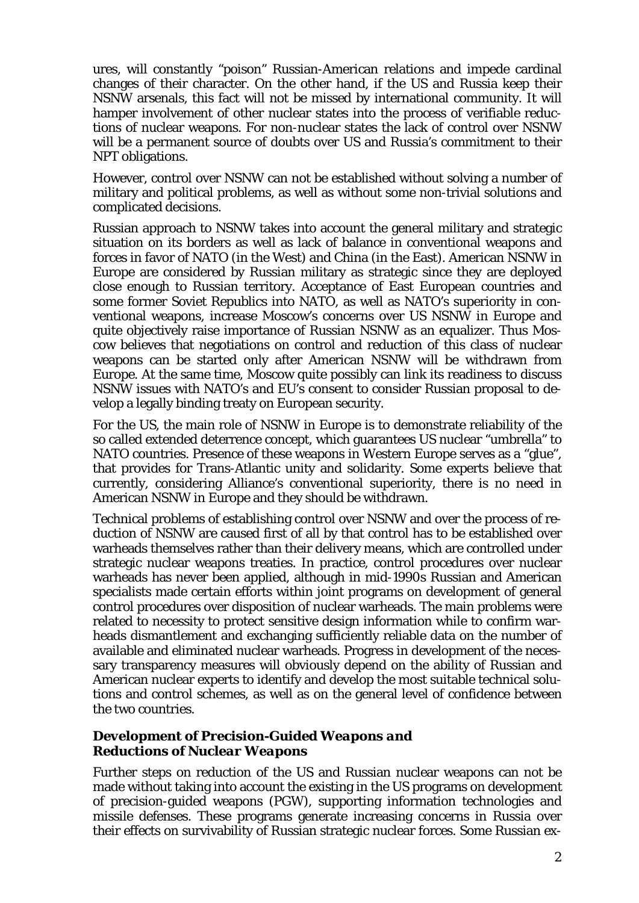ures, will constantly "poison" Russian-American relations and impede cardinal changes of their character. On the other hand, if the US and Russia keep their NSNW arsenals, this fact will not be missed by international community. It will hamper involvement of other nuclear states into the process of verifiable reductions of nuclear weapons. For non-nuclear states the lack of control over NSNW will be a permanent source of doubts over US and Russia's commitment to their NPT obligations.

However, control over NSNW can not be established without solving a number of military and political problems, as well as without some non-trivial solutions and complicated decisions.

Russian approach to NSNW takes into account the general military and strategic situation on its borders as well as lack of balance in conventional weapons and forces in favor of NATO (in the West) and China (in the East). American NSNW in Europe are considered by Russian military as strategic since they are deployed close enough to Russian territory. Acceptance of East European countries and some former Soviet Republics into NATO, as well as NATO's superiority in conventional weapons, increase Moscow's concerns over US NSNW in Europe and quite objectively raise importance of Russian NSNW as an equalizer. Thus Moscow believes that negotiations on control and reduction of this class of nuclear weapons can be started only after American NSNW will be withdrawn from Europe. At the same time, Moscow quite possibly can link its readiness to discuss NSNW issues with NATO's and EU's consent to consider Russian proposal to develop a legally binding treaty on European security.

For the US, the main role of NSNW in Europe is to demonstrate reliability of the so called extended deterrence concept, which guarantees US nuclear "umbrella" to NATO countries. Presence of these weapons in Western Europe serves as a "glue", that provides for Trans-Atlantic unity and solidarity. Some experts believe that currently, considering Alliance's conventional superiority, there is no need in American NSNW in Europe and they should be withdrawn.

Technical problems of establishing control over NSNW and over the process of reduction of NSNW are caused first of all by that control has to be established over warheads themselves rather than their delivery means, which are controlled under strategic nuclear weapons treaties. In practice, control procedures over nuclear warheads has never been applied, although in mid-1990s Russian and American specialists made certain efforts within joint programs on development of general control procedures over disposition of nuclear warheads. The main problems were related to necessity to protect sensitive design information while to confirm warheads dismantlement and exchanging sufficiently reliable data on the number of available and eliminated nuclear warheads. Progress in development of the necessary transparency measures will obviously depend on the ability of Russian and American nuclear experts to identify and develop the most suitable technical solutions and control schemes, as well as on the general level of confidence between the two countries.

### *Development of Precision-Guided Weapons and Reductions of Nuclear Weapons*

Further steps on reduction of the US and Russian nuclear weapons can not be made without taking into account the existing in the US programs on development of precision-guided weapons (PGW), supporting information technologies and missile defenses. These programs generate increasing concerns in Russia over their effects on survivability of Russian strategic nuclear forces. Some Russian ex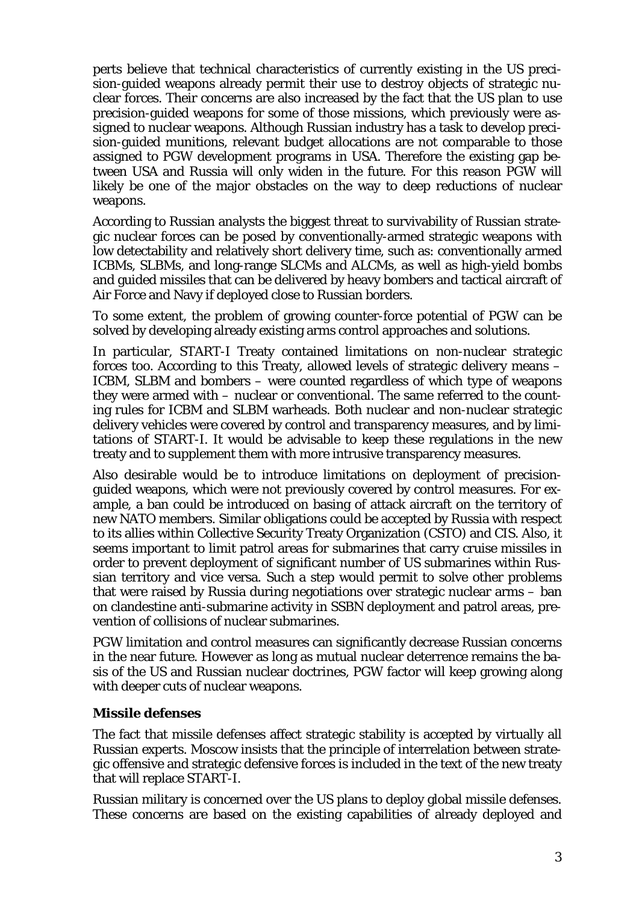perts believe that technical characteristics of currently existing in the US precision-guided weapons already permit their use to destroy objects of strategic nuclear forces. Their concerns are also increased by the fact that the US plan to use precision-guided weapons for some of those missions, which previously were assigned to nuclear weapons. Although Russian industry has a task to develop precision-guided munitions, relevant budget allocations are not comparable to those assigned to PGW development programs in USA. Therefore the existing gap between USA and Russia will only widen in the future. For this reason PGW will likely be one of the major obstacles on the way to deep reductions of nuclear weapons.

According to Russian analysts the biggest threat to survivability of Russian strategic nuclear forces can be posed by conventionally-armed strategic weapons with low detectability and relatively short delivery time, such as: conventionally armed ICBMs, SLBMs, and long-range SLCMs and ALCMs, as well as high-yield bombs and guided missiles that can be delivered by heavy bombers and tactical aircraft of Air Force and Navy if deployed close to Russian borders.

To some extent, the problem of growing counter-force potential of PGW can be solved by developing already existing arms control approaches and solutions.

In particular, START-I Treaty contained limitations on non-nuclear strategic forces too. According to this Treaty, allowed levels of strategic delivery means – ICBM, SLBM and bombers – were counted regardless of which type of weapons they were armed with – nuclear or conventional. The same referred to the counting rules for ICBM and SLBM warheads. Both nuclear and non-nuclear strategic delivery vehicles were covered by control and transparency measures, and by limitations of START-I. It would be advisable to keep these regulations in the new treaty and to supplement them with more intrusive transparency measures.

Also desirable would be to introduce limitations on deployment of precisionguided weapons, which were not previously covered by control measures. For example, a ban could be introduced on basing of attack aircraft on the territory of new NATO members. Similar obligations could be accepted by Russia with respect to its allies within Collective Security Treaty Organization (CSTO) and CIS. Also, it seems important to limit patrol areas for submarines that carry cruise missiles in order to prevent deployment of significant number of US submarines within Russian territory and vice versa. Such a step would permit to solve other problems that were raised by Russia during negotiations over strategic nuclear arms – ban on clandestine anti-submarine activity in SSBN deployment and patrol areas, prevention of collisions of nuclear submarines.

PGW limitation and control measures can significantly decrease Russian concerns in the near future. However as long as mutual nuclear deterrence remains the basis of the US and Russian nuclear doctrines, PGW factor will keep growing along with deeper cuts of nuclear weapons.

# *Missile defenses*

The fact that missile defenses affect strategic stability is accepted by virtually all Russian experts. Moscow insists that the principle of interrelation between strategic offensive and strategic defensive forces is included in the text of the new treaty that will replace START-I.

Russian military is concerned over the US plans to deploy global missile defenses. These concerns are based on the existing capabilities of already deployed and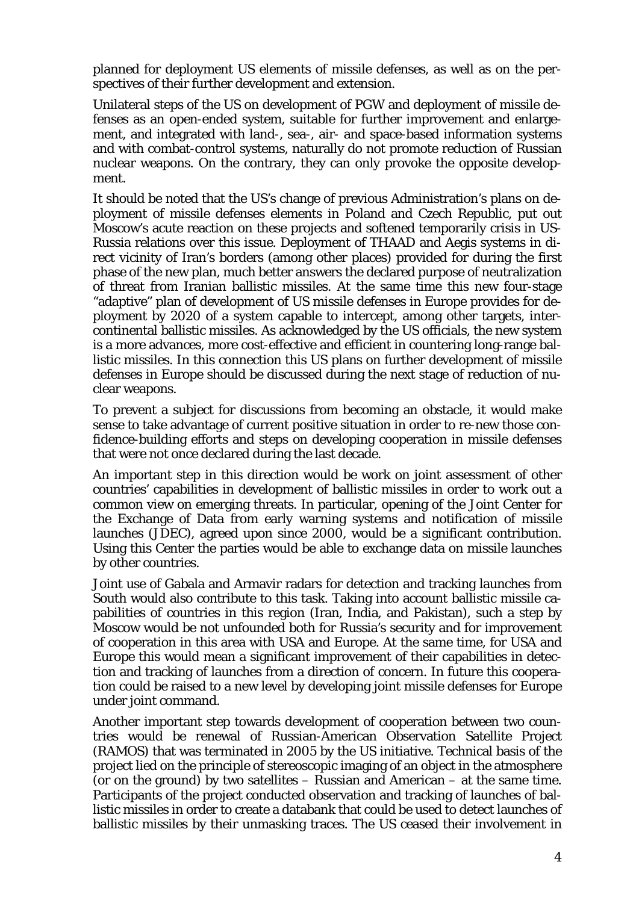planned for deployment US elements of missile defenses, as well as on the perspectives of their further development and extension.

Unilateral steps of the US on development of PGW and deployment of missile defenses as an open-ended system, suitable for further improvement and enlargement, and integrated with land-, sea-, air- and space-based information systems and with combat-control systems, naturally do not promote reduction of Russian nuclear weapons. On the contrary, they can only provoke the opposite development.

It should be noted that the US's change of previous Administration's plans on deployment of missile defenses elements in Poland and Czech Republic, put out Moscow's acute reaction on these projects and softened temporarily crisis in US-Russia relations over this issue. Deployment of THAAD and Aegis systems in direct vicinity of Iran's borders (among other places) provided for during the first phase of the new plan, much better answers the declared purpose of neutralization of threat from Iranian ballistic missiles. At the same time this new four-stage "adaptive" plan of development of US missile defenses in Europe provides for deployment by 2020 of a system capable to intercept, among other targets, intercontinental ballistic missiles. As acknowledged by the US officials, the new system is a more advances, more cost-effective and efficient in countering long-range ballistic missiles. In this connection this US plans on further development of missile defenses in Europe should be discussed during the next stage of reduction of nuclear weapons.

To prevent a subject for discussions from becoming an obstacle, it would make sense to take advantage of current positive situation in order to re-new those confidence-building efforts and steps on developing cooperation in missile defenses that were not once declared during the last decade.

An important step in this direction would be work on joint assessment of other countries' capabilities in development of ballistic missiles in order to work out a common view on emerging threats. In particular, opening of the Joint Center for the Exchange of Data from early warning systems and notification of missile launches (JDEC), agreed upon since 2000, would be a significant contribution. Using this Center the parties would be able to exchange data on missile launches by other countries.

Joint use of Gabala and Armavir radars for detection and tracking launches from South would also contribute to this task. Taking into account ballistic missile capabilities of countries in this region (Iran, India, and Pakistan), such a step by Moscow would be not unfounded both for Russia's security and for improvement of cooperation in this area with USA and Europe. At the same time, for USA and Europe this would mean a significant improvement of their capabilities in detection and tracking of launches from a direction of concern. In future this cooperation could be raised to a new level by developing joint missile defenses for Europe under joint command.

Another important step towards development of cooperation between two countries would be renewal of Russian-American Observation Satellite Project (RAMOS) that was terminated in 2005 by the US initiative. Technical basis of the project lied on the principle of stereoscopic imaging of an object in the atmosphere (or on the ground) by two satellites – Russian and American – at the same time. Participants of the project conducted observation and tracking of launches of ballistic missiles in order to create a databank that could be used to detect launches of ballistic missiles by their unmasking traces. The US ceased their involvement in